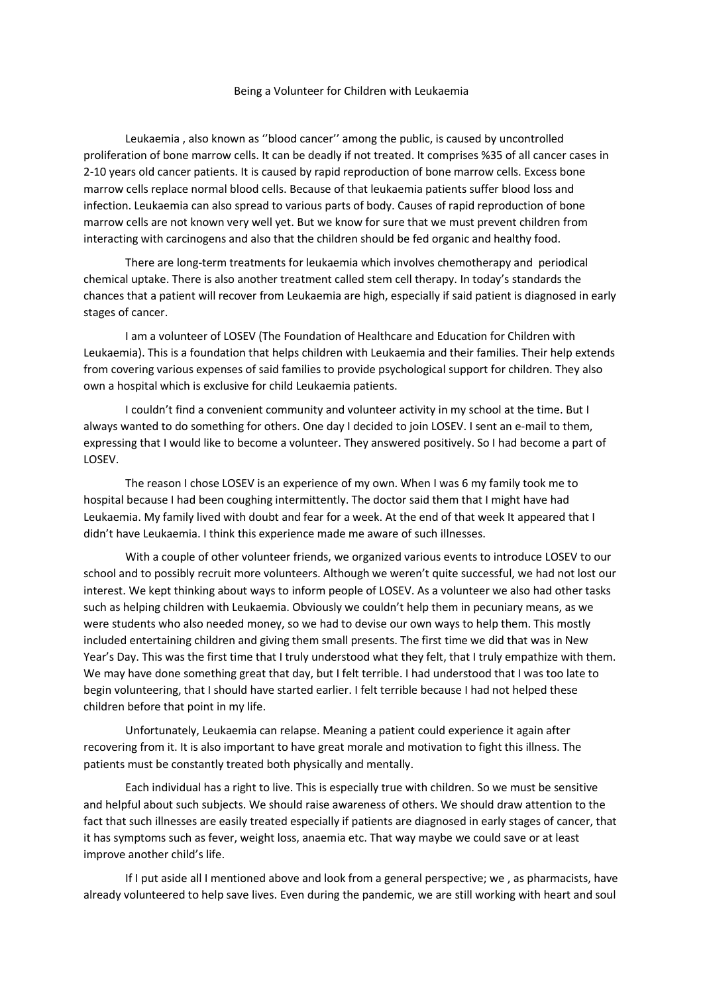## Being a Volunteer for Children with Leukaemia

Leukaemia , also known as ''blood cancer'' among the public, is caused by uncontrolled proliferation of bone marrow cells. It can be deadly if not treated. It comprises %35 of all cancer cases in 2-10 years old cancer patients. It is caused by rapid reproduction of bone marrow cells. Excess bone marrow cells replace normal blood cells. Because of that leukaemia patients suffer blood loss and infection. Leukaemia can also spread to various parts of body. Causes of rapid reproduction of bone marrow cells are not known very well yet. But we know for sure that we must prevent children from interacting with carcinogens and also that the children should be fed organic and healthy food.

There are long-term treatments for leukaemia which involves chemotherapy and periodical chemical uptake. There is also another treatment called stem cell therapy. In today's standards the chances that a patient will recover from Leukaemia are high, especially if said patient is diagnosed in early stages of cancer.

I am a volunteer of LOSEV (The Foundation of Healthcare and Education for Children with Leukaemia). This is a foundation that helps children with Leukaemia and their families. Their help extends from covering various expenses of said families to provide psychological support for children. They also own a hospital which is exclusive for child Leukaemia patients.

I couldn't find a convenient community and volunteer activity in my school at the time. But I always wanted to do something for others. One day I decided to join LOSEV. I sent an e-mail to them, expressing that I would like to become a volunteer. They answered positively. So I had become a part of LOSEV.

The reason I chose LOSEV is an experience of my own. When I was 6 my family took me to hospital because I had been coughing intermittently. The doctor said them that I might have had Leukaemia. My family lived with doubt and fear for a week. At the end of that week It appeared that I didn't have Leukaemia. I think this experience made me aware of such illnesses.

With a couple of other volunteer friends, we organized various events to introduce LOSEV to our school and to possibly recruit more volunteers. Although we weren't quite successful, we had not lost our interest. We kept thinking about ways to inform people of LOSEV. As a volunteer we also had other tasks such as helping children with Leukaemia. Obviously we couldn't help them in pecuniary means, as we were students who also needed money, so we had to devise our own ways to help them. This mostly included entertaining children and giving them small presents. The first time we did that was in New Year's Day. This was the first time that I truly understood what they felt, that I truly empathize with them. We may have done something great that day, but I felt terrible. I had understood that I was too late to begin volunteering, that I should have started earlier. I felt terrible because I had not helped these children before that point in my life.

Unfortunately, Leukaemia can relapse. Meaning a patient could experience it again after recovering from it. It is also important to have great morale and motivation to fight this illness. The patients must be constantly treated both physically and mentally.

Each individual has a right to live. This is especially true with children. So we must be sensitive and helpful about such subjects. We should raise awareness of others. We should draw attention to the fact that such illnesses are easily treated especially if patients are diagnosed in early stages of cancer, that it has symptoms such as fever, weight loss, anaemia etc. That way maybe we could save or at least improve another child's life.

If I put aside all I mentioned above and look from a general perspective; we , as pharmacists, have already volunteered to help save lives. Even during the pandemic, we are still working with heart and soul